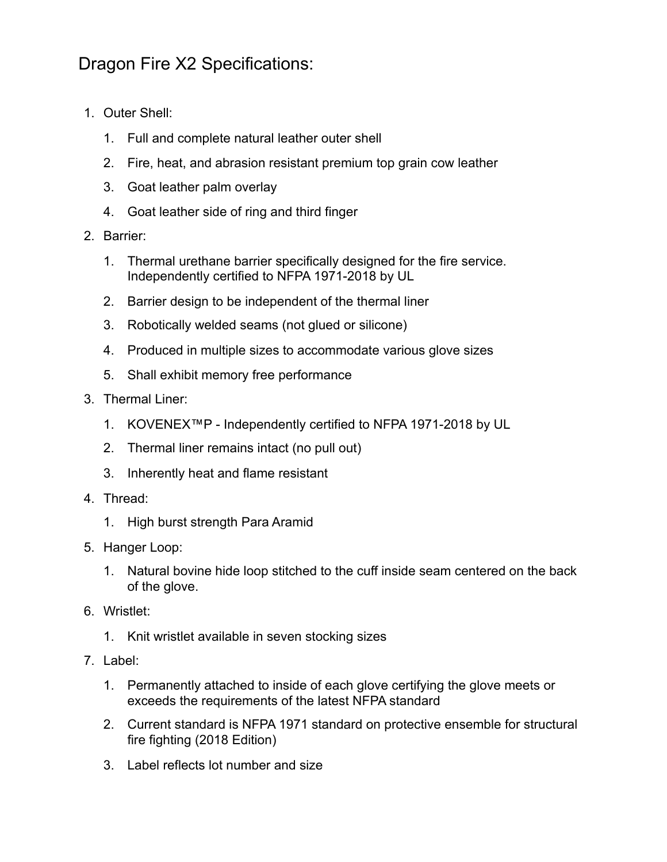## Dragon Fire X2 Specifications:

- 1. Outer Shell:
	- 1. Full and complete natural leather outer shell
	- 2. Fire, heat, and abrasion resistant premium top grain cow leather
	- 3. Goat leather palm overlay
	- 4. Goat leather side of ring and third finger
- 2. Barrier:
	- 1. Thermal urethane barrier specifically designed for the fire service. Independently certified to NFPA 1971-2018 by UL
	- 2. Barrier design to be independent of the thermal liner
	- 3. Robotically welded seams (not glued or silicone)
	- 4. Produced in multiple sizes to accommodate various glove sizes
	- 5. Shall exhibit memory free performance
- 3. Thermal Liner:
	- 1. KOVENEX™P Independently certified to NFPA 1971-2018 by UL
	- 2. Thermal liner remains intact (no pull out)
	- 3. Inherently heat and flame resistant
- 4. Thread:
	- 1. High burst strength Para Aramid
- 5. Hanger Loop:
	- 1. Natural bovine hide loop stitched to the cuff inside seam centered on the back of the glove.
- 6. Wristlet:
	- 1. Knit wristlet available in seven stocking sizes
- 7. Label:
	- 1. Permanently attached to inside of each glove certifying the glove meets or exceeds the requirements of the latest NFPA standard
	- 2. Current standard is NFPA 1971 standard on protective ensemble for structural fire fighting (2018 Edition)
	- 3. Label reflects lot number and size